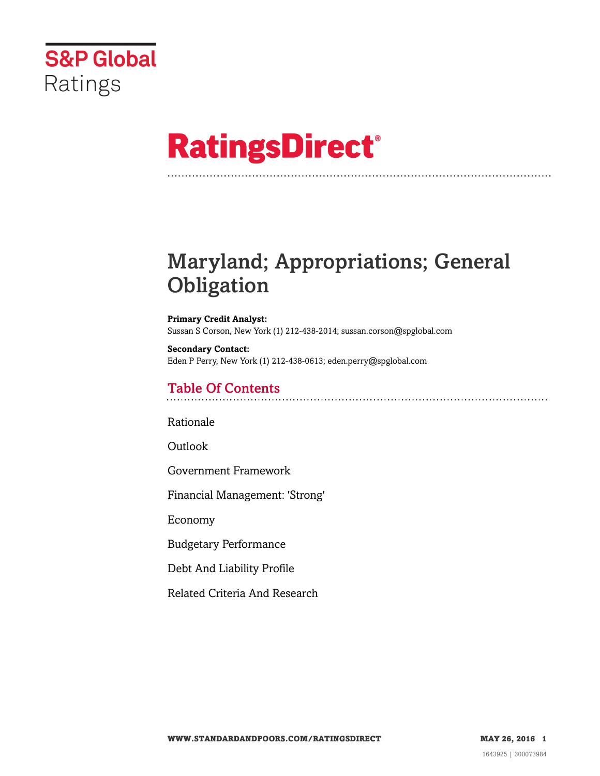

# **RatingsDirect®**

# Maryland; Appropriations; General **Obligation**

**Primary Credit Analyst:** Sussan S Corson, New York (1) 212-438-2014; sussan.corson@spglobal.com

**Secondary Contact:** Eden P Perry, New York (1) 212-438-0613; eden.perry@spglobal.com

# Table Of Contents

[Rationale](#page-1-0)

[Outlook](#page-3-0)

[Government Framework](#page-3-1)

[Financial Management: 'Strong'](#page-4-0)

[Economy](#page-4-1)

[Budgetary Performance](#page-5-0)

[Debt And Liability Profile](#page-6-0)

[Related Criteria And Research](#page-8-0)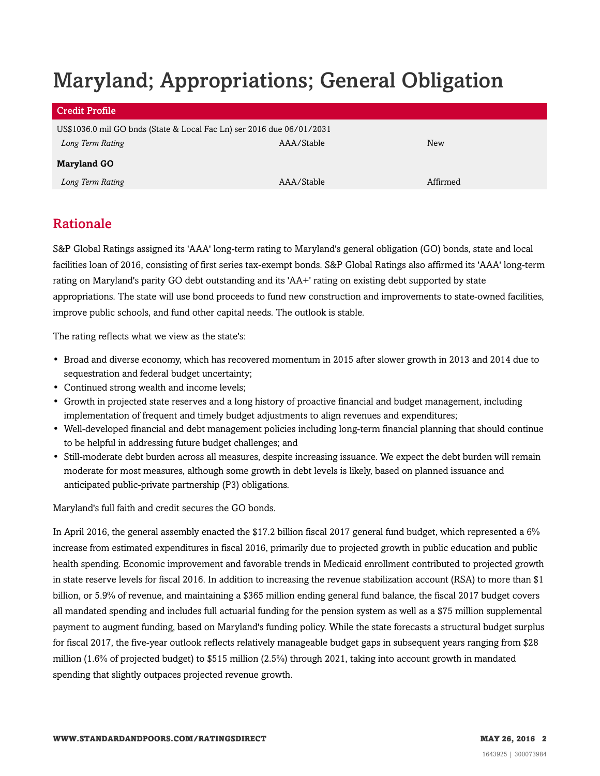# Maryland; Appropriations; General Obligation

| <b>Credit Profile</b>                                                 |            |          |  |  |
|-----------------------------------------------------------------------|------------|----------|--|--|
| US\$1036.0 mil GO bnds (State & Local Fac Ln) ser 2016 due 06/01/2031 |            |          |  |  |
| Long Term Rating                                                      | AAA/Stable | New      |  |  |
| <b>Maryland GO</b>                                                    |            |          |  |  |
| Long Term Rating                                                      | AAA/Stable | Affirmed |  |  |

# <span id="page-1-0"></span>Rationale

S&P Global Ratings assigned its 'AAA' long-term rating to Maryland's general obligation (GO) bonds, state and local facilities loan of 2016, consisting of first series tax-exempt bonds. S&P Global Ratings also affirmed its 'AAA' long-term rating on Maryland's parity GO debt outstanding and its 'AA+' rating on existing debt supported by state appropriations. The state will use bond proceeds to fund new construction and improvements to state-owned facilities, improve public schools, and fund other capital needs. The outlook is stable.

The rating reflects what we view as the state's:

- Broad and diverse economy, which has recovered momentum in 2015 after slower growth in 2013 and 2014 due to sequestration and federal budget uncertainty;
- Continued strong wealth and income levels;
- Growth in projected state reserves and a long history of proactive financial and budget management, including implementation of frequent and timely budget adjustments to align revenues and expenditures;
- Well-developed financial and debt management policies including long-term financial planning that should continue to be helpful in addressing future budget challenges; and
- Still-moderate debt burden across all measures, despite increasing issuance. We expect the debt burden will remain moderate for most measures, although some growth in debt levels is likely, based on planned issuance and anticipated public-private partnership (P3) obligations.

Maryland's full faith and credit secures the GO bonds.

In April 2016, the general assembly enacted the \$17.2 billion fiscal 2017 general fund budget, which represented a 6% increase from estimated expenditures in fiscal 2016, primarily due to projected growth in public education and public health spending. Economic improvement and favorable trends in Medicaid enrollment contributed to projected growth in state reserve levels for fiscal 2016. In addition to increasing the revenue stabilization account (RSA) to more than \$1 billion, or 5.9% of revenue, and maintaining a \$365 million ending general fund balance, the fiscal 2017 budget covers all mandated spending and includes full actuarial funding for the pension system as well as a \$75 million supplemental payment to augment funding, based on Maryland's funding policy. While the state forecasts a structural budget surplus for fiscal 2017, the five-year outlook reflects relatively manageable budget gaps in subsequent years ranging from \$28 million (1.6% of projected budget) to \$515 million (2.5%) through 2021, taking into account growth in mandated spending that slightly outpaces projected revenue growth.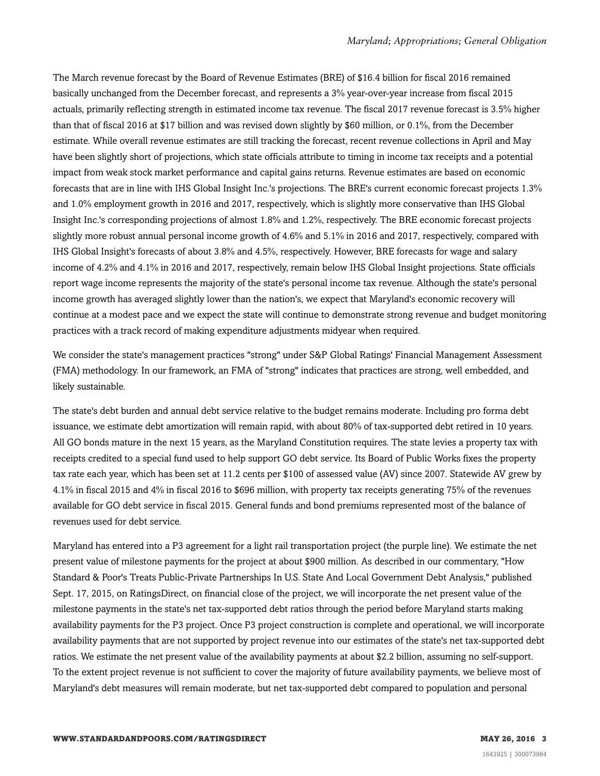The March revenue forecast by the Board of Revenue Estimates (BRE) of \$16.4 billion for fiscal 2016 remained basically unchanged from the December forecast, and represents a 3% year-over-year increase from fiscal 2015 actuals, primarily reflecting strength in estimated income tax revenue. The fiscal 2017 revenue forecast is 3.5% higher than that of fiscal 2016 at \$17 billion and was revised down slightly by \$60 million, or 0.1%, from the December estimate. While overall revenue estimates are still tracking the forecast, recent revenue collections in April and May have been slightly short of projections, which state officials attribute to timing in income tax receipts and a potential impact from weak stock market performance and capital gains returns. Revenue estimates are based on economic forecasts that are in line with IHS Global Insight Inc.'s projections. The BRE's current economic forecast projects 1.3% and 1.0% employment growth in 2016 and 2017, respectively, which is slightly more conservative than IHS Global Insight Inc.'s corresponding projections of almost 1.8% and 1.2%, respectively. The BRE economic forecast projects slightly more robust annual personal income growth of 4.6% and 5.1% in 2016 and 2017, respectively, compared with IHS Global Insight's forecasts of about 3.8% and 4.5%, respectively. However, BRE forecasts for wage and salary income of 4.2% and 4.1% in 2016 and 2017, respectively, remain below IHS Global Insight projections. State officials report wage income represents the majority of the state's personal income tax revenue. Although the state's personal income growth has averaged slightly lower than the nation's, we expect that Maryland's economic recovery will continue at a modest pace and we expect the state will continue to demonstrate strong revenue and budget monitoring practices with a track record of making expenditure adjustments midyear when required.

We consider the state's management practices "strong" under S&P Global Ratings' Financial Management Assessment (FMA) methodology. In our framework, an FMA of "strong" indicates that practices are strong, well embedded, and likely sustainable.

The state's debt burden and annual debt service relative to the budget remains moderate. Including pro forma debt issuance, we estimate debt amortization will remain rapid, with about 80% of tax-supported debt retired in 10 years. All GO bonds mature in the next 15 years, as the Maryland Constitution requires. The state levies a property tax with receipts credited to a special fund used to help support GO debt service. Its Board of Public Works fixes the property tax rate each year, which has been set at 11.2 cents per \$100 of assessed value (AV) since 2007. Statewide AV grew by 4.1% in fiscal 2015 and 4% in fiscal 2016 to \$696 million, with property tax receipts generating 75% of the revenues available for GO debt service in fiscal 2015. General funds and bond premiums represented most of the balance of revenues used for debt service.

Maryland has entered into a P3 agreement for a light rail transportation project (the purple line). We estimate the net present value of milestone payments for the project at about \$900 million. As described in our commentary, "How Standard & Poor's Treats Public-Private Partnerships In U.S. State And Local Government Debt Analysis," published Sept. 17, 2015, on RatingsDirect, on financial close of the project, we will incorporate the net present value of the milestone payments in the state's net tax-supported debt ratios through the period before Maryland starts making availability payments for the P3 project. Once P3 project construction is complete and operational, we will incorporate availability payments that are not supported by project revenue into our estimates of the state's net tax-supported debt ratios. We estimate the net present value of the availability payments at about \$2.2 billion, assuming no self-support. To the extent project revenue is not sufficient to cover the majority of future availability payments, we believe most of Maryland's debt measures will remain moderate, but net tax-supported debt compared to population and personal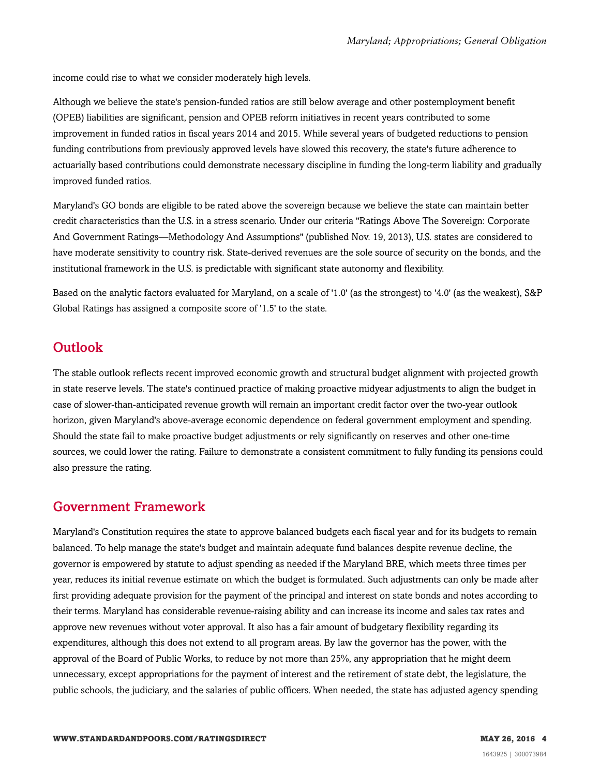income could rise to what we consider moderately high levels.

Although we believe the state's pension-funded ratios are still below average and other postemployment benefit (OPEB) liabilities are significant, pension and OPEB reform initiatives in recent years contributed to some improvement in funded ratios in fiscal years 2014 and 2015. While several years of budgeted reductions to pension funding contributions from previously approved levels have slowed this recovery, the state's future adherence to actuarially based contributions could demonstrate necessary discipline in funding the long-term liability and gradually improved funded ratios.

Maryland's GO bonds are eligible to be rated above the sovereign because we believe the state can maintain better credit characteristics than the U.S. in a stress scenario. Under our criteria "Ratings Above The Sovereign: Corporate And Government Ratings—Methodology And Assumptions" (published Nov. 19, 2013), U.S. states are considered to have moderate sensitivity to country risk. State-derived revenues are the sole source of security on the bonds, and the institutional framework in the U.S. is predictable with significant state autonomy and flexibility.

Based on the analytic factors evaluated for Maryland, on a scale of '1.0' (as the strongest) to '4.0' (as the weakest), S&P Global Ratings has assigned a composite score of '1.5' to the state.

#### <span id="page-3-0"></span>**Outlook**

The stable outlook reflects recent improved economic growth and structural budget alignment with projected growth in state reserve levels. The state's continued practice of making proactive midyear adjustments to align the budget in case of slower-than-anticipated revenue growth will remain an important credit factor over the two-year outlook horizon, given Maryland's above-average economic dependence on federal government employment and spending. Should the state fail to make proactive budget adjustments or rely significantly on reserves and other one-time sources, we could lower the rating. Failure to demonstrate a consistent commitment to fully funding its pensions could also pressure the rating.

#### <span id="page-3-1"></span>Government Framework

Maryland's Constitution requires the state to approve balanced budgets each fiscal year and for its budgets to remain balanced. To help manage the state's budget and maintain adequate fund balances despite revenue decline, the governor is empowered by statute to adjust spending as needed if the Maryland BRE, which meets three times per year, reduces its initial revenue estimate on which the budget is formulated. Such adjustments can only be made after first providing adequate provision for the payment of the principal and interest on state bonds and notes according to their terms. Maryland has considerable revenue-raising ability and can increase its income and sales tax rates and approve new revenues without voter approval. It also has a fair amount of budgetary flexibility regarding its expenditures, although this does not extend to all program areas. By law the governor has the power, with the approval of the Board of Public Works, to reduce by not more than 25%, any appropriation that he might deem unnecessary, except appropriations for the payment of interest and the retirement of state debt, the legislature, the public schools, the judiciary, and the salaries of public officers. When needed, the state has adjusted agency spending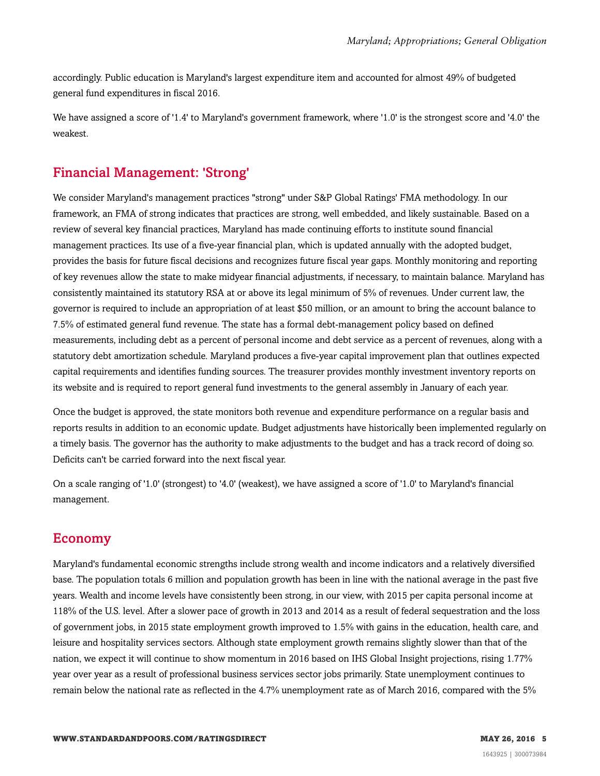accordingly. Public education is Maryland's largest expenditure item and accounted for almost 49% of budgeted general fund expenditures in fiscal 2016.

We have assigned a score of '1.4' to Maryland's government framework, where '1.0' is the strongest score and '4.0' the weakest.

### <span id="page-4-0"></span>Financial Management: 'Strong'

We consider Maryland's management practices "strong" under S&P Global Ratings' FMA methodology. In our framework, an FMA of strong indicates that practices are strong, well embedded, and likely sustainable. Based on a review of several key financial practices, Maryland has made continuing efforts to institute sound financial management practices. Its use of a five-year financial plan, which is updated annually with the adopted budget, provides the basis for future fiscal decisions and recognizes future fiscal year gaps. Monthly monitoring and reporting of key revenues allow the state to make midyear financial adjustments, if necessary, to maintain balance. Maryland has consistently maintained its statutory RSA at or above its legal minimum of 5% of revenues. Under current law, the governor is required to include an appropriation of at least \$50 million, or an amount to bring the account balance to 7.5% of estimated general fund revenue. The state has a formal debt-management policy based on defined measurements, including debt as a percent of personal income and debt service as a percent of revenues, along with a statutory debt amortization schedule. Maryland produces a five-year capital improvement plan that outlines expected capital requirements and identifies funding sources. The treasurer provides monthly investment inventory reports on its website and is required to report general fund investments to the general assembly in January of each year.

Once the budget is approved, the state monitors both revenue and expenditure performance on a regular basis and reports results in addition to an economic update. Budget adjustments have historically been implemented regularly on a timely basis. The governor has the authority to make adjustments to the budget and has a track record of doing so. Deficits can't be carried forward into the next fiscal year.

On a scale ranging of '1.0' (strongest) to '4.0' (weakest), we have assigned a score of '1.0' to Maryland's financial management.

#### <span id="page-4-1"></span>Economy

Maryland's fundamental economic strengths include strong wealth and income indicators and a relatively diversified base. The population totals 6 million and population growth has been in line with the national average in the past five years. Wealth and income levels have consistently been strong, in our view, with 2015 per capita personal income at 118% of the U.S. level. After a slower pace of growth in 2013 and 2014 as a result of federal sequestration and the loss of government jobs, in 2015 state employment growth improved to 1.5% with gains in the education, health care, and leisure and hospitality services sectors. Although state employment growth remains slightly slower than that of the nation, we expect it will continue to show momentum in 2016 based on IHS Global Insight projections, rising 1.77% year over year as a result of professional business services sector jobs primarily. State unemployment continues to remain below the national rate as reflected in the 4.7% unemployment rate as of March 2016, compared with the 5%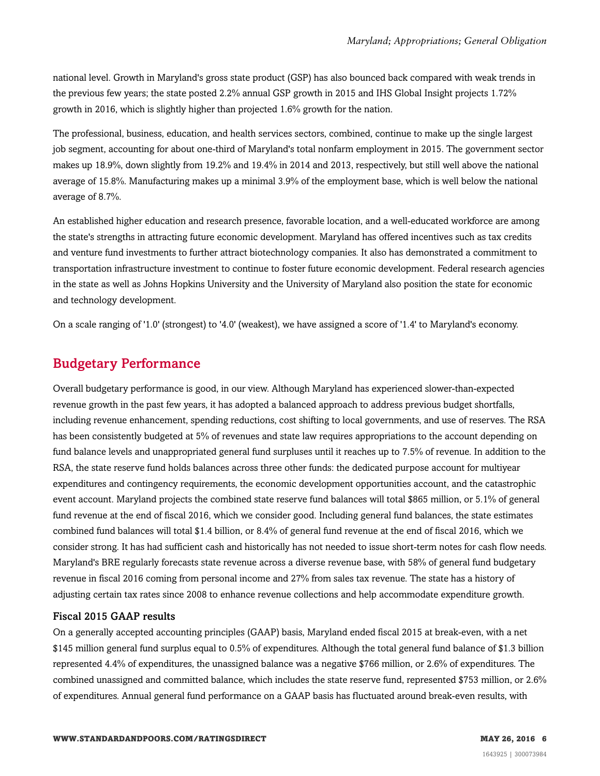national level. Growth in Maryland's gross state product (GSP) has also bounced back compared with weak trends in the previous few years; the state posted 2.2% annual GSP growth in 2015 and IHS Global Insight projects 1.72% growth in 2016, which is slightly higher than projected 1.6% growth for the nation.

The professional, business, education, and health services sectors, combined, continue to make up the single largest job segment, accounting for about one-third of Maryland's total nonfarm employment in 2015. The government sector makes up 18.9%, down slightly from 19.2% and 19.4% in 2014 and 2013, respectively, but still well above the national average of 15.8%. Manufacturing makes up a minimal 3.9% of the employment base, which is well below the national average of 8.7%.

An established higher education and research presence, favorable location, and a well-educated workforce are among the state's strengths in attracting future economic development. Maryland has offered incentives such as tax credits and venture fund investments to further attract biotechnology companies. It also has demonstrated a commitment to transportation infrastructure investment to continue to foster future economic development. Federal research agencies in the state as well as Johns Hopkins University and the University of Maryland also position the state for economic and technology development.

<span id="page-5-0"></span>On a scale ranging of '1.0' (strongest) to '4.0' (weakest), we have assigned a score of '1.4' to Maryland's economy.

### Budgetary Performance

Overall budgetary performance is good, in our view. Although Maryland has experienced slower-than-expected revenue growth in the past few years, it has adopted a balanced approach to address previous budget shortfalls, including revenue enhancement, spending reductions, cost shifting to local governments, and use of reserves. The RSA has been consistently budgeted at 5% of revenues and state law requires appropriations to the account depending on fund balance levels and unappropriated general fund surpluses until it reaches up to 7.5% of revenue. In addition to the RSA, the state reserve fund holds balances across three other funds: the dedicated purpose account for multiyear expenditures and contingency requirements, the economic development opportunities account, and the catastrophic event account. Maryland projects the combined state reserve fund balances will total \$865 million, or 5.1% of general fund revenue at the end of fiscal 2016, which we consider good. Including general fund balances, the state estimates combined fund balances will total \$1.4 billion, or 8.4% of general fund revenue at the end of fiscal 2016, which we consider strong. It has had sufficient cash and historically has not needed to issue short-term notes for cash flow needs. Maryland's BRE regularly forecasts state revenue across a diverse revenue base, with 58% of general fund budgetary revenue in fiscal 2016 coming from personal income and 27% from sales tax revenue. The state has a history of adjusting certain tax rates since 2008 to enhance revenue collections and help accommodate expenditure growth.

#### Fiscal 2015 GAAP results

On a generally accepted accounting principles (GAAP) basis, Maryland ended fiscal 2015 at break-even, with a net \$145 million general fund surplus equal to 0.5% of expenditures. Although the total general fund balance of \$1.3 billion represented 4.4% of expenditures, the unassigned balance was a negative \$766 million, or 2.6% of expenditures. The combined unassigned and committed balance, which includes the state reserve fund, represented \$753 million, or 2.6% of expenditures. Annual general fund performance on a GAAP basis has fluctuated around break-even results, with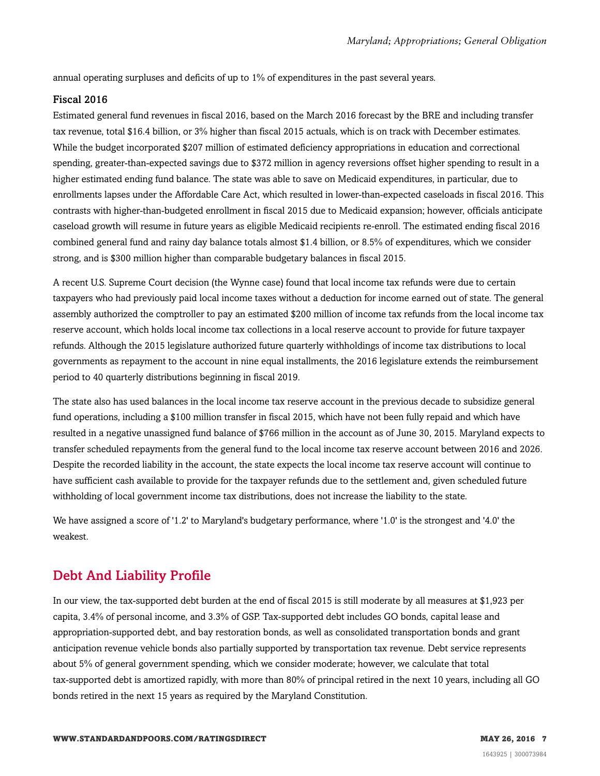annual operating surpluses and deficits of up to 1% of expenditures in the past several years.

#### Fiscal 2016

Estimated general fund revenues in fiscal 2016, based on the March 2016 forecast by the BRE and including transfer tax revenue, total \$16.4 billion, or 3% higher than fiscal 2015 actuals, which is on track with December estimates. While the budget incorporated \$207 million of estimated deficiency appropriations in education and correctional spending, greater-than-expected savings due to \$372 million in agency reversions offset higher spending to result in a higher estimated ending fund balance. The state was able to save on Medicaid expenditures, in particular, due to enrollments lapses under the Affordable Care Act, which resulted in lower-than-expected caseloads in fiscal 2016. This contrasts with higher-than-budgeted enrollment in fiscal 2015 due to Medicaid expansion; however, officials anticipate caseload growth will resume in future years as eligible Medicaid recipients re-enroll. The estimated ending fiscal 2016 combined general fund and rainy day balance totals almost \$1.4 billion, or 8.5% of expenditures, which we consider strong, and is \$300 million higher than comparable budgetary balances in fiscal 2015.

A recent U.S. Supreme Court decision (the Wynne case) found that local income tax refunds were due to certain taxpayers who had previously paid local income taxes without a deduction for income earned out of state. The general assembly authorized the comptroller to pay an estimated \$200 million of income tax refunds from the local income tax reserve account, which holds local income tax collections in a local reserve account to provide for future taxpayer refunds. Although the 2015 legislature authorized future quarterly withholdings of income tax distributions to local governments as repayment to the account in nine equal installments, the 2016 legislature extends the reimbursement period to 40 quarterly distributions beginning in fiscal 2019.

The state also has used balances in the local income tax reserve account in the previous decade to subsidize general fund operations, including a \$100 million transfer in fiscal 2015, which have not been fully repaid and which have resulted in a negative unassigned fund balance of \$766 million in the account as of June 30, 2015. Maryland expects to transfer scheduled repayments from the general fund to the local income tax reserve account between 2016 and 2026. Despite the recorded liability in the account, the state expects the local income tax reserve account will continue to have sufficient cash available to provide for the taxpayer refunds due to the settlement and, given scheduled future withholding of local government income tax distributions, does not increase the liability to the state.

We have assigned a score of '1.2' to Maryland's budgetary performance, where '1.0' is the strongest and '4.0' the weakest.

# <span id="page-6-0"></span>Debt And Liability Profile

In our view, the tax-supported debt burden at the end of fiscal 2015 is still moderate by all measures at \$1,923 per capita, 3.4% of personal income, and 3.3% of GSP. Tax-supported debt includes GO bonds, capital lease and appropriation-supported debt, and bay restoration bonds, as well as consolidated transportation bonds and grant anticipation revenue vehicle bonds also partially supported by transportation tax revenue. Debt service represents about 5% of general government spending, which we consider moderate; however, we calculate that total tax-supported debt is amortized rapidly, with more than 80% of principal retired in the next 10 years, including all GO bonds retired in the next 15 years as required by the Maryland Constitution.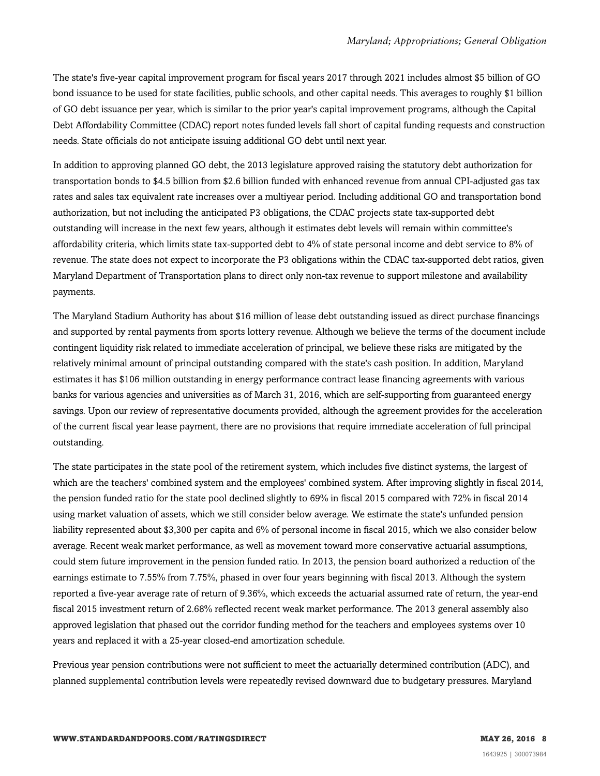The state's five-year capital improvement program for fiscal years 2017 through 2021 includes almost \$5 billion of GO bond issuance to be used for state facilities, public schools, and other capital needs. This averages to roughly \$1 billion of GO debt issuance per year, which is similar to the prior year's capital improvement programs, although the Capital Debt Affordability Committee (CDAC) report notes funded levels fall short of capital funding requests and construction needs. State officials do not anticipate issuing additional GO debt until next year.

In addition to approving planned GO debt, the 2013 legislature approved raising the statutory debt authorization for transportation bonds to \$4.5 billion from \$2.6 billion funded with enhanced revenue from annual CPI-adjusted gas tax rates and sales tax equivalent rate increases over a multiyear period. Including additional GO and transportation bond authorization, but not including the anticipated P3 obligations, the CDAC projects state tax-supported debt outstanding will increase in the next few years, although it estimates debt levels will remain within committee's affordability criteria, which limits state tax-supported debt to 4% of state personal income and debt service to 8% of revenue. The state does not expect to incorporate the P3 obligations within the CDAC tax-supported debt ratios, given Maryland Department of Transportation plans to direct only non-tax revenue to support milestone and availability payments.

The Maryland Stadium Authority has about \$16 million of lease debt outstanding issued as direct purchase financings and supported by rental payments from sports lottery revenue. Although we believe the terms of the document include contingent liquidity risk related to immediate acceleration of principal, we believe these risks are mitigated by the relatively minimal amount of principal outstanding compared with the state's cash position. In addition, Maryland estimates it has \$106 million outstanding in energy performance contract lease financing agreements with various banks for various agencies and universities as of March 31, 2016, which are self-supporting from guaranteed energy savings. Upon our review of representative documents provided, although the agreement provides for the acceleration of the current fiscal year lease payment, there are no provisions that require immediate acceleration of full principal outstanding.

The state participates in the state pool of the retirement system, which includes five distinct systems, the largest of which are the teachers' combined system and the employees' combined system. After improving slightly in fiscal 2014, the pension funded ratio for the state pool declined slightly to 69% in fiscal 2015 compared with 72% in fiscal 2014 using market valuation of assets, which we still consider below average. We estimate the state's unfunded pension liability represented about \$3,300 per capita and 6% of personal income in fiscal 2015, which we also consider below average. Recent weak market performance, as well as movement toward more conservative actuarial assumptions, could stem future improvement in the pension funded ratio. In 2013, the pension board authorized a reduction of the earnings estimate to 7.55% from 7.75%, phased in over four years beginning with fiscal 2013. Although the system reported a five-year average rate of return of 9.36%, which exceeds the actuarial assumed rate of return, the year-end fiscal 2015 investment return of 2.68% reflected recent weak market performance. The 2013 general assembly also approved legislation that phased out the corridor funding method for the teachers and employees systems over 10 years and replaced it with a 25-year closed-end amortization schedule.

Previous year pension contributions were not sufficient to meet the actuarially determined contribution (ADC), and planned supplemental contribution levels were repeatedly revised downward due to budgetary pressures. Maryland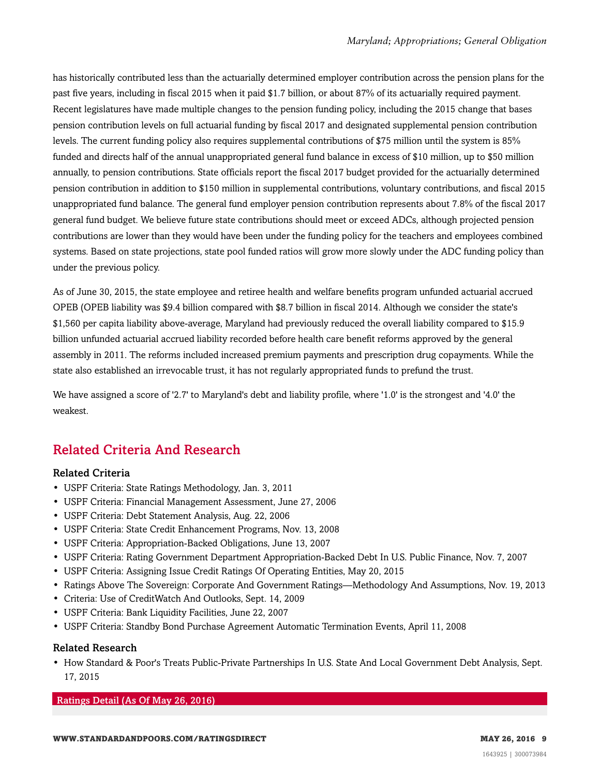has historically contributed less than the actuarially determined employer contribution across the pension plans for the past five years, including in fiscal 2015 when it paid \$1.7 billion, or about 87% of its actuarially required payment. Recent legislatures have made multiple changes to the pension funding policy, including the 2015 change that bases pension contribution levels on full actuarial funding by fiscal 2017 and designated supplemental pension contribution levels. The current funding policy also requires supplemental contributions of \$75 million until the system is 85% funded and directs half of the annual unappropriated general fund balance in excess of \$10 million, up to \$50 million annually, to pension contributions. State officials report the fiscal 2017 budget provided for the actuarially determined pension contribution in addition to \$150 million in supplemental contributions, voluntary contributions, and fiscal 2015 unappropriated fund balance. The general fund employer pension contribution represents about 7.8% of the fiscal 2017 general fund budget. We believe future state contributions should meet or exceed ADCs, although projected pension contributions are lower than they would have been under the funding policy for the teachers and employees combined systems. Based on state projections, state pool funded ratios will grow more slowly under the ADC funding policy than under the previous policy.

As of June 30, 2015, the state employee and retiree health and welfare benefits program unfunded actuarial accrued OPEB (OPEB liability was \$9.4 billion compared with \$8.7 billion in fiscal 2014. Although we consider the state's \$1,560 per capita liability above-average, Maryland had previously reduced the overall liability compared to \$15.9 billion unfunded actuarial accrued liability recorded before health care benefit reforms approved by the general assembly in 2011. The reforms included increased premium payments and prescription drug copayments. While the state also established an irrevocable trust, it has not regularly appropriated funds to prefund the trust.

We have assigned a score of '2.7' to Maryland's debt and liability profile, where '1.0' is the strongest and '4.0' the weakest.

# <span id="page-8-0"></span>Related Criteria And Research

#### Related Criteria

- USPF Criteria: State Ratings Methodology, Jan. 3, 2011
- USPF Criteria: Financial Management Assessment, June 27, 2006
- USPF Criteria: Debt Statement Analysis, Aug. 22, 2006
- USPF Criteria: State Credit Enhancement Programs, Nov. 13, 2008
- USPF Criteria: Appropriation-Backed Obligations, June 13, 2007
- USPF Criteria: Rating Government Department Appropriation-Backed Debt In U.S. Public Finance, Nov. 7, 2007
- USPF Criteria: Assigning Issue Credit Ratings Of Operating Entities, May 20, 2015
- Ratings Above The Sovereign: Corporate And Government Ratings—Methodology And Assumptions, Nov. 19, 2013
- Criteria: Use of CreditWatch And Outlooks, Sept. 14, 2009
- USPF Criteria: Bank Liquidity Facilities, June 22, 2007
- USPF Criteria: Standby Bond Purchase Agreement Automatic Termination Events, April 11, 2008

#### Related Research

• How Standard & Poor's Treats Public-Private Partnerships In U.S. State And Local Government Debt Analysis, Sept. 17, 2015

Ratings Detail (As Of May 26, 2016)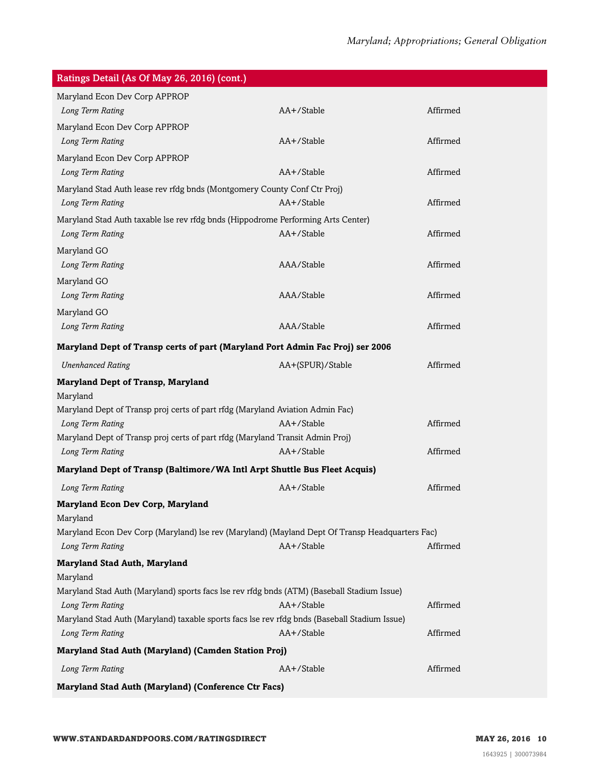| Ratings Detail (As Of May 26, 2016) (cont.)                                                                      |                  |          |  |  |
|------------------------------------------------------------------------------------------------------------------|------------------|----------|--|--|
| Maryland Econ Dev Corp APPROP                                                                                    |                  |          |  |  |
| Long Term Rating                                                                                                 | AA+/Stable       | Affirmed |  |  |
| Maryland Econ Dev Corp APPROP                                                                                    |                  |          |  |  |
| Long Term Rating                                                                                                 | AA+/Stable       | Affirmed |  |  |
| Maryland Econ Dev Corp APPROP                                                                                    |                  |          |  |  |
| Long Term Rating                                                                                                 | AA+/Stable       | Affirmed |  |  |
| Maryland Stad Auth lease rev rfdg bnds (Montgomery County Conf Ctr Proj)                                         |                  |          |  |  |
| Long Term Rating                                                                                                 | AA+/Stable       | Affirmed |  |  |
| Maryland Stad Auth taxable lse rev rfdg bnds (Hippodrome Performing Arts Center)                                 |                  |          |  |  |
| Long Term Rating                                                                                                 | AA+/Stable       | Affirmed |  |  |
| Maryland GO                                                                                                      |                  |          |  |  |
| Long Term Rating                                                                                                 | AAA/Stable       | Affirmed |  |  |
| Maryland GO                                                                                                      |                  |          |  |  |
| Long Term Rating                                                                                                 | AAA/Stable       | Affirmed |  |  |
| Maryland GO                                                                                                      |                  |          |  |  |
| Long Term Rating                                                                                                 | AAA/Stable       | Affirmed |  |  |
| Maryland Dept of Transp certs of part (Maryland Port Admin Fac Proj) ser 2006                                    |                  |          |  |  |
| <b>Unenhanced Rating</b>                                                                                         | AA+(SPUR)/Stable | Affirmed |  |  |
| <b>Maryland Dept of Transp, Maryland</b>                                                                         |                  |          |  |  |
| Maryland                                                                                                         |                  |          |  |  |
| Maryland Dept of Transp proj certs of part rfdg (Maryland Aviation Admin Fac)                                    |                  |          |  |  |
| Long Term Rating                                                                                                 | AA+/Stable       | Affirmed |  |  |
| Maryland Dept of Transp proj certs of part rfdg (Maryland Transit Admin Proj)                                    |                  |          |  |  |
| Long Term Rating                                                                                                 | AA+/Stable       | Affirmed |  |  |
| Maryland Dept of Transp (Baltimore/WA Intl Arpt Shuttle Bus Fleet Acquis)                                        |                  |          |  |  |
| Long Term Rating                                                                                                 | AA+/Stable       | Affirmed |  |  |
| <b>Maryland Econ Dev Corp, Maryland</b>                                                                          |                  |          |  |  |
| Maryland                                                                                                         |                  |          |  |  |
| Maryland Econ Dev Corp (Maryland) lse rev (Maryland) (Mayland Dept Of Transp Headquarters Fac)                   |                  |          |  |  |
| Long Term Rating                                                                                                 | AA+/Stable       | Affirmed |  |  |
| <b>Maryland Stad Auth, Maryland</b>                                                                              |                  |          |  |  |
| Maryland                                                                                                         |                  |          |  |  |
| Maryland Stad Auth (Maryland) sports facs lse rev rfdg bnds (ATM) (Baseball Stadium Issue)                       |                  |          |  |  |
| Long Term Rating                                                                                                 | AA+/Stable       | Affirmed |  |  |
| Maryland Stad Auth (Maryland) taxable sports facs lse rev rfdg bnds (Baseball Stadium Issue)<br>Long Term Rating | AA+/Stable       | Affirmed |  |  |
| Maryland Stad Auth (Maryland) (Camden Station Proj)                                                              |                  |          |  |  |
|                                                                                                                  |                  |          |  |  |
| Long Term Rating                                                                                                 | AA+/Stable       | Affirmed |  |  |
| Maryland Stad Auth (Maryland) (Conference Ctr Facs)                                                              |                  |          |  |  |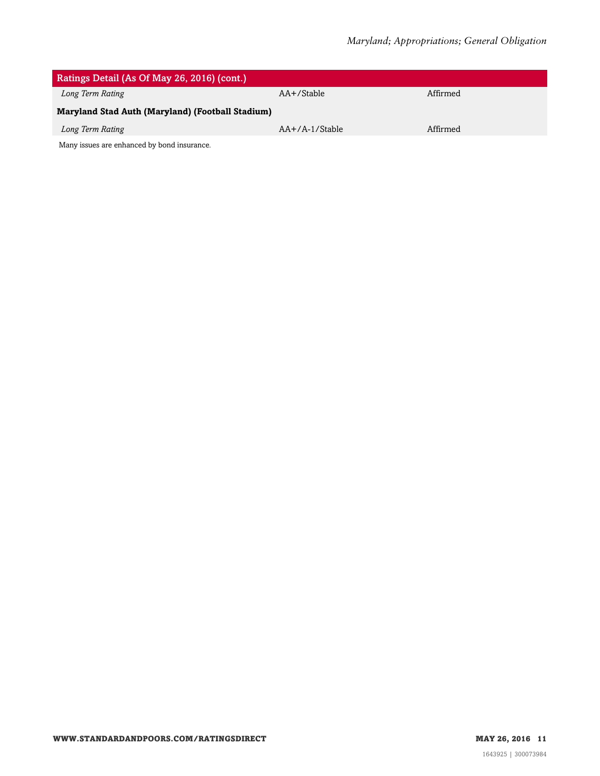| Ratings Detail (As Of May 26, 2016) (cont.)      |                  |          |  |  |
|--------------------------------------------------|------------------|----------|--|--|
| Long Term Rating                                 | $AA + /$ Stable  | Affirmed |  |  |
| Maryland Stad Auth (Maryland) (Football Stadium) |                  |          |  |  |
| Long Term Rating                                 | $AA+/A-1/Stable$ | Affirmed |  |  |
| Many issues are enhanced by bond insurance.      |                  |          |  |  |